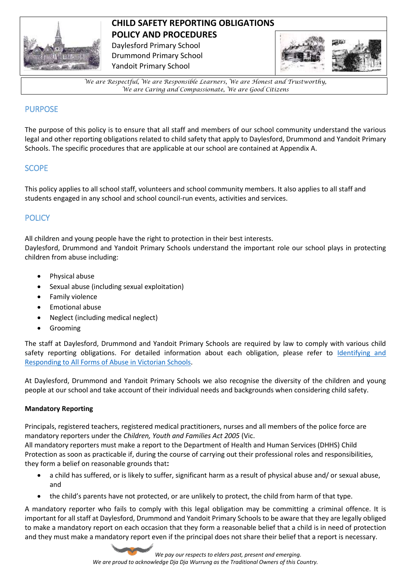

# **CHILD SAFETY REPORTING OBLIGATIONS POLICY AND PROCEDURES**

Daylesford Primary School Drummond Primary School Yandoit Primary School



*We are Respectful, We are Responsible Learners, We are Honest and Trustworthy, We are Caring and Compassionate, We are Good Citizens*

# PURPOSE

The purpose of this policy is to ensure that all staff and members of our school community understand the various legal and other reporting obligations related to child safety that apply to Daylesford, Drummond and Yandoit Primary Schools. The specific procedures that are applicable at our school are contained at Appendix A.

# **SCOPE**

This policy applies to all school staff, volunteers and school community members. It also applies to all staff and students engaged in any school and school council-run events, activities and services.

# **POLICY**

All children and young people have the right to protection in their best interests.

Daylesford, Drummond and Yandoit Primary Schools understand the important role our school plays in protecting children from abuse including:

- Physical abuse
- Sexual abuse (including sexual exploitation)
- Family violence
- Emotional abuse
- Neglect (including medical neglect)
- Grooming

The staff at Daylesford, Drummond and Yandoit Primary Schools are required by law to comply with various child safety reporting obligations. For detailed information about each obligation, please refer to [Identifying and](https://www.education.vic.gov.au/Documents/about/programs/health/protect/ChildSafeStandard5_SchoolsGuide.pdf)  [Responding to All Forms of Abuse in Victorian Schools.](https://www.education.vic.gov.au/Documents/about/programs/health/protect/ChildSafeStandard5_SchoolsGuide.pdf)

At Daylesford, Drummond and Yandoit Primary Schools we also recognise the diversity of the children and young people at our school and take account of their individual needs and backgrounds when considering child safety.

### **Mandatory Reporting**

Principals, registered teachers, registered medical practitioners, nurses and all members of the police force are mandatory reporters under the *Children, Youth and Families Act 2005* (Vic.

All mandatory reporters must make a report to the Department of Health and Human Services (DHHS) Child Protection as soon as practicable if, during the course of carrying out their professional roles and responsibilities, they form a belief on reasonable grounds that**:** 

- a child has suffered, or is likely to suffer, significant harm as a result of physical abuse and/ or sexual abuse, and
- the child's parents have not protected, or are unlikely to protect, the child from harm of that type.

A mandatory reporter who fails to comply with this legal obligation may be committing a criminal offence. It is important for all staff at Daylesford, Drummond and Yandoit Primary Schools to be aware that they are legally obliged to make a mandatory report on each occasion that they form a reasonable belief that a child is in need of protection and they must make a mandatory report even if the principal does not share their belief that a report is necessary.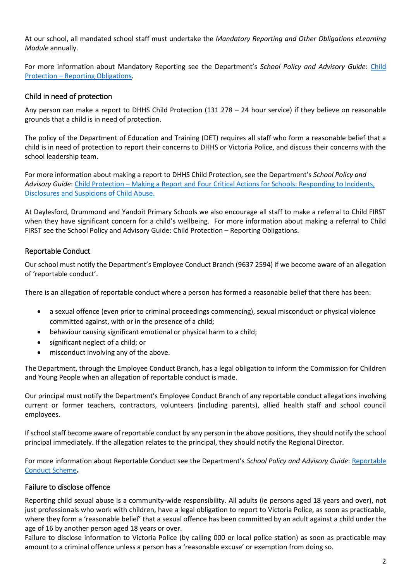At our school, all mandated school staff must undertake the *Mandatory Reporting and Other Obligations eLearning Module* annually.

For more information about Mandatory Reporting see the Department's *School Policy and Advisory Guide*: [Child](http://www.education.vic.gov.au/school/principals/spag/safety/Pages/childprotectobligation.aspx)  Protection – [Reporting Obligations.](http://www.education.vic.gov.au/school/principals/spag/safety/Pages/childprotectobligation.aspx)

## Child in need of protection

Any person can make a report to DHHS Child Protection (131 278 – 24 hour service) if they believe on reasonable grounds that a child is in need of protection.

The policy of the Department of Education and Training (DET) requires all staff who form a reasonable belief that a child is in need of protection to report their concerns to DHHS or Victoria Police, and discuss their concerns with the school leadership team.

For more information about making a report to DHHS Child Protection, see the Department's *School Policy and Advisory Guide*: [Child Protection](http://www.education.vic.gov.au/school/principals/spag/safety/Pages/childprotectreporting.aspx) – Making a Report and [Four Critical Actions for Schools: Responding to Incidents,](https://www.education.vic.gov.au/Documents/about/programs/health/protect/FourCriticalActions_ChildAbuse.pdf)  [Disclosures and Suspicions of Child Abuse.](https://www.education.vic.gov.au/Documents/about/programs/health/protect/FourCriticalActions_ChildAbuse.pdf)

At Daylesford, Drummond and Yandoit Primary Schools we also encourage all staff to make a referral to Child FIRST when they have significant concern for a child's wellbeing. For more information about making a referral to Child FIRST see the School Policy and Advisory Guide: Child Protection – [Reporting Obligations.](https://www.education.vic.gov.au/school/principals/spag/safety/Pages/childprotectobligation.aspx)

## Reportable Conduct

Our school must notify the Department's Employee Conduct Branch (9637 2594) if we become aware of an allegation of 'reportable conduct'.

There is an allegation of reportable conduct where a person has formed a reasonable belief that there has been:

- a sexual offence (even prior to criminal proceedings commencing), sexual misconduct or physical violence committed against, with or in the presence of a child;
- behaviour causing significant emotional or physical harm to a child;
- significant neglect of a child; or
- misconduct involving any of the above.

The Department, through the Employee Conduct Branch, has a legal obligation to inform the Commission for Children and Young People when an allegation of reportable conduct is made.

Our principal must notify the Department's Employee Conduct Branch of any reportable conduct allegations involving current or former teachers, contractors, volunteers (including parents), allied health staff and school council employees.

If school staff become aware of reportable conduct by any person in the above positions, they should notify the school principal immediately. If the allegation relates to the principal, they should notify the Regional Director.

For more information about Reportable Conduct see the Department's *School Policy and Advisory Guide*[: Reportable](http://www.education.vic.gov.au/school/principals/spag/safety/Pages/reportableconductscheme.aspx)  [Conduct Scheme](http://www.education.vic.gov.au/school/principals/spag/safety/Pages/reportableconductscheme.aspx)**.** 

### Failure to disclose offence

Reporting child sexual abuse is a community-wide responsibility. All adults (ie persons aged 18 years and over), not just professionals who work with children, have a legal obligation to report to Victoria Police, as soon as practicable, where they form a 'reasonable belief' that a sexual offence has been committed by an adult against a child under the age of 16 by another person aged 18 years or over.

Failure to disclose information to Victoria Police (by calling 000 or local police station) as soon as practicable may amount to a criminal offence unless a person has a 'reasonable excuse' or exemption from doing so.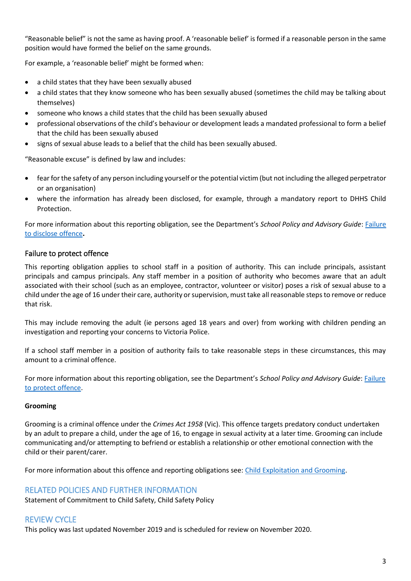"Reasonable belief" is not the same as having proof. A 'reasonable belief' is formed if a reasonable person in the same position would have formed the belief on the same grounds.

For example, a 'reasonable belief' might be formed when:

- a child states that they have been sexually abused
- a child states that they know someone who has been sexually abused (sometimes the child may be talking about themselves)
- someone who knows a child states that the child has been sexually abused
- professional observations of the child's behaviour or development leads a mandated professional to form a belief that the child has been sexually abused
- signs of sexual abuse leads to a belief that the child has been sexually abused.

"Reasonable excuse" is defined by law and includes:

- fear for the safety of any person including yourself or the potential victim (but not including the alleged perpetrator or an organisation)
- where the information has already been disclosed, for example, through a mandatory report to DHHS Child Protection.

For more information about this reporting obligation, see the Department's *School Policy and Advisory Guide*: [Failure](http://www.education.vic.gov.au/school/principals/spag/safety/Pages/childprotectobligation.aspx)  [to disclose offence](http://www.education.vic.gov.au/school/principals/spag/safety/Pages/childprotectobligation.aspx)**.** 

# Failure to protect offence

This reporting obligation applies to school staff in a position of authority. This can include principals, assistant principals and campus principals. Any staff member in a position of authority who becomes aware that an adult associated with their school (such as an employee, contractor, volunteer or visitor) poses a risk of sexual abuse to a child under the age of 16 under their care, authority or supervision, must take all reasonable steps to remove or reduce that risk.

This may include removing the adult (ie persons aged 18 years and over) from working with children pending an investigation and reporting your concerns to Victoria Police.

If a school staff member in a position of authority fails to take reasonable steps in these circumstances, this may amount to a criminal offence.

For more information about this reporting obligation, see the Department's *School Policy and Advisory Guide*: [Failure](http://www.education.vic.gov.au/school/principals/spag/safety/Pages/childprotectobligation.aspx)  [to protect offence.](http://www.education.vic.gov.au/school/principals/spag/safety/Pages/childprotectobligation.aspx)

### **Grooming**

Grooming is a criminal offence under the *Crimes Act 1958* (Vic). This offence targets predatory conduct undertaken by an adult to prepare a child, under the age of 16, to engage in sexual activity at a later time. Grooming can include communicating and/or attempting to befriend or establish a relationship or other emotional connection with the child or their parent/carer.

For more information about this offence and reporting obligations see: [Child Exploitation and Grooming.](https://www.education.vic.gov.au/school/teachers/health/childprotection/Pages/expolitationgrooming.aspx)

# RELATED POLICIES AND FURTHER INFORMATION

Statement of Commitment to Child Safety, Child Safety Policy

# REVIEW CYCLE

This policy was last updated November 2019 and is scheduled for review on November 2020.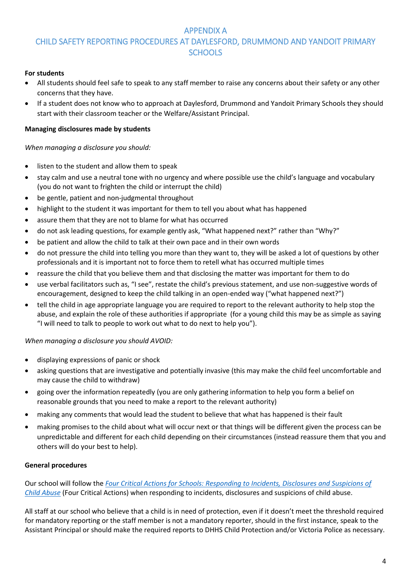# APPENDIX A CHILD SAFETY REPORTING PROCEDURES AT DAYLESFORD, DRUMMOND AND YANDOIT PRIMARY SCHOOLS

#### **For students**

- All students should feel safe to speak to any staff member to raise any concerns about their safety or any other concerns that they have.
- If a student does not know who to approach at Daylesford, Drummond and Yandoit Primary Schools they should start with their classroom teacher or the Welfare/Assistant Principal.

### **Managing disclosures made by students**

#### *When managing a disclosure you should:*

- listen to the student and allow them to speak
- stay calm and use a neutral tone with no urgency and where possible use the child's language and vocabulary (you do not want to frighten the child or interrupt the child)
- be gentle, patient and non-judgmental throughout
- highlight to the student it was important for them to tell you about what has happened
- assure them that they are not to blame for what has occurred
- do not ask leading questions, for example gently ask, "What happened next?" rather than "Why?"
- be patient and allow the child to talk at their own pace and in their own words
- do not pressure the child into telling you more than they want to, they will be asked a lot of questions by other professionals and it is important not to force them to retell what has occurred multiple times
- reassure the child that you believe them and that disclosing the matter was important for them to do
- use verbal facilitators such as, "I see", restate the child's previous statement, and use non-suggestive words of encouragement, designed to keep the child talking in an open-ended way ("what happened next?")
- tell the child in age appropriate language you are required to report to the relevant authority to help stop the abuse, and explain the role of these authorities if appropriate (for a young child this may be as simple as saying "I will need to talk to people to work out what to do next to help you").

#### *When managing a disclosure you should AVOID:*

- displaying expressions of panic or shock
- asking questions that are investigative and potentially invasive (this may make the child feel uncomfortable and may cause the child to withdraw)
- going over the information repeatedly (you are only gathering information to help you form a belief on reasonable grounds that you need to make a report to the relevant authority)
- making any comments that would lead the student to believe that what has happened is their fault
- making promises to the child about what will occur next or that things will be different given the process can be unpredictable and different for each child depending on their circumstances (instead reassure them that you and others will do your best to help).

#### **General procedures**

Our school will follow the *[Four Critical Actions for Schools: Responding to Incidents, Disclosures and Suspicions of](https://www.education.vic.gov.au/Documents/about/programs/health/protect/FourCriticalActions_ChildAbuse.pdf)  [Child Abuse](https://www.education.vic.gov.au/Documents/about/programs/health/protect/FourCriticalActions_ChildAbuse.pdf)* (Four Critical Actions) when responding to incidents, disclosures and suspicions of child abuse.

All staff at our school who believe that a child is in need of protection, even if it doesn't meet the threshold required for mandatory reporting or the staff member is not a mandatory reporter, should in the first instance, speak to the Assistant Principal or should make the required reports to DHHS Child Protection and/or Victoria Police as necessary.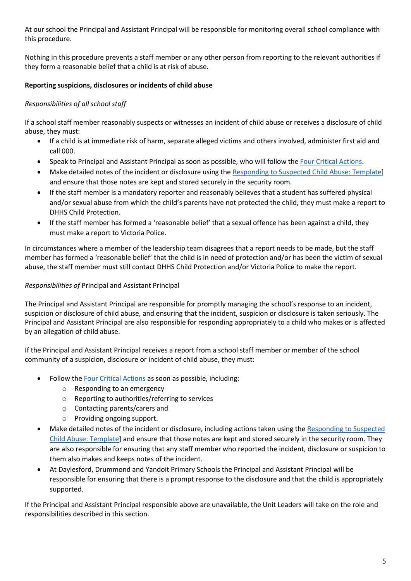At our school the Principal and Assistant Principal will be responsible for monitoring overall school compliance with this procedure.

Nothing in this procedure prevents a staff member or any other person from reporting to the relevant authorities if they form a reasonable belief that a child is at risk of abuse.

## **Reporting suspicions, disclosures or incidents of child abuse**

### *Responsibilities of all school staff*

If a school staff member reasonably suspects or witnesses an incident of child abuse or receives a disclosure of child abuse, they must:

- If a child is at immediate risk of harm, separate alleged victims and others involved, administer first aid and call 000.
- Speak to Principal and Assistant Principal as soon as possible, who will follow the [Four Critical Actions.](https://www.education.vic.gov.au/Documents/about/programs/health/protect/FourCriticalActions_ChildAbuse.pdf)
- Make detailed notes of the incident or disclosure using the [Responding to Suspected Child Abuse: Template\]](https://www.education.vic.gov.au/Documents/about/programs/health/protect/PROTECT_Schoolstemplate.pdf) and ensure that those notes are kept and stored securely in the security room.
- If the staff member is a mandatory reporter and reasonably believes that a student has suffered physical and/or sexual abuse from which the child's parents have not protected the child, they must make a report to DHHS Child Protection.
- If the staff member has formed a 'reasonable belief' that a sexual offence has been against a child, they must make a report to Victoria Police.

In circumstances where a member of the leadership team disagrees that a report needs to be made, but the staff member has formed a 'reasonable belief' that the child is in need of protection and/or has been the victim of sexual abuse, the staff member must still contact DHHS Child Protection and/or Victoria Police to make the report.

### *Responsibilities of* Principal and Assistant Principal

The Principal and Assistant Principal are responsible for promptly managing the school's response to an incident, suspicion or disclosure of child abuse, and ensuring that the incident, suspicion or disclosure is taken seriously. The Principal and Assistant Principal are also responsible for responding appropriately to a child who makes or is affected by an allegation of child abuse.

If the Principal and Assistant Principal receives a report from a school staff member or member of the school community of a suspicion, disclosure or incident of child abuse, they must:

- Follow th[e Four Critical Actions](https://www.education.vic.gov.au/Documents/about/programs/health/protect/FourCriticalActions_ChildAbuse.pdf) as soon as possible, including:
	- o Responding to an emergency
	- o Reporting to authorities/referring to services
	- o Contacting parents/carers and
	- o Providing ongoing support.
- Make detailed notes of the incident or disclosure, including actions taken using the [Responding to Suspected](https://www.education.vic.gov.au/Documents/about/programs/health/protect/PROTECT_Schoolstemplate.pdf)  [Child Abuse: Template\]](https://www.education.vic.gov.au/Documents/about/programs/health/protect/PROTECT_Schoolstemplate.pdf) and ensure that those notes are kept and stored securely in the security room. They are also responsible for ensuring that any staff member who reported the incident, disclosure or suspicion to them also makes and keeps notes of the incident.
- At Daylesford, Drummond and Yandoit Primary Schools the Principal and Assistant Principal will be responsible for ensuring that there is a prompt response to the disclosure and that the child is appropriately supported.

If the Principal and Assistant Principal responsible above are unavailable, the Unit Leaders will take on the role and responsibilities described in this section.